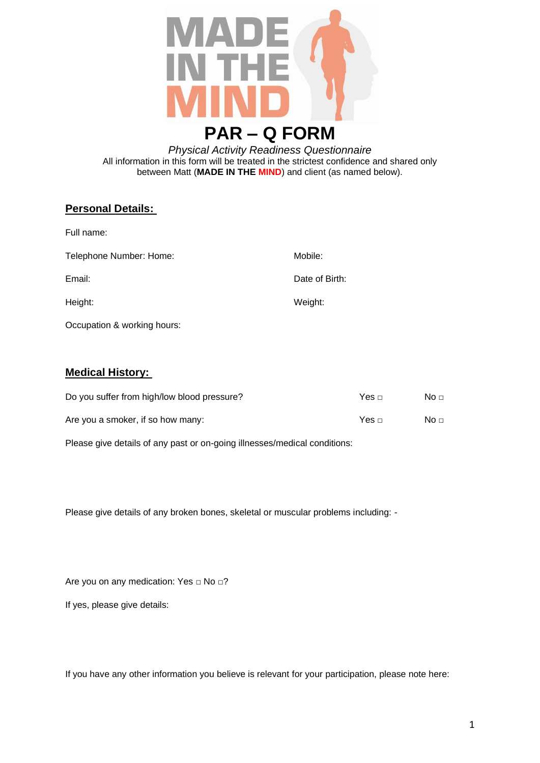

*Physical Activity Readiness Questionnaire* All information in this form will be treated in the strictest confidence and shared only between Matt (**MADE IN THE MIND**) and client (as named below).

## **Personal Details:**

| Full name:              |                |
|-------------------------|----------------|
| Telephone Number: Home: | Mobile:        |
| Email:                  | Date of Birth: |
| Height:                 | Weight:        |
|                         |                |

Occupation & working hours:

## **Medical History:**

| Do you suffer from high/low blood pressure? |              | No $\sqcap$ |
|---------------------------------------------|--------------|-------------|
| Are you a smoker, if so how many:           | Yes $\sqcap$ | No $\sqcap$ |

Please give details of any past or on-going illnesses/medical conditions:

Please give details of any broken bones, skeletal or muscular problems including: -

Are you on any medication: Yes □ No □?

If yes, please give details:

If you have any other information you believe is relevant for your participation, please note here: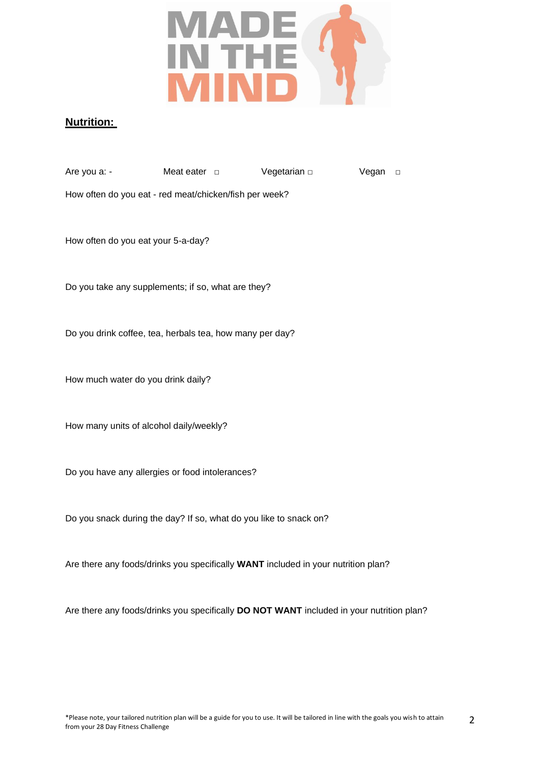

## **Nutrition:**

| Are you a: - | Meat eater $\Box$ | Vegetarian $\Box$ | Vegan □ |  |
|--------------|-------------------|-------------------|---------|--|
|              |                   |                   |         |  |

How often do you eat - red meat/chicken/fish per week?

How often do you eat your 5-a-day?

Do you take any supplements; if so, what are they?

Do you drink coffee, tea, herbals tea, how many per day?

How much water do you drink daily?

How many units of alcohol daily/weekly?

Do you have any allergies or food intolerances?

Do you snack during the day? If so, what do you like to snack on?

Are there any foods/drinks you specifically **WANT** included in your nutrition plan?

Are there any foods/drinks you specifically **DO NOT WANT** included in your nutrition plan?

 $\overline{\phantom{0}}$